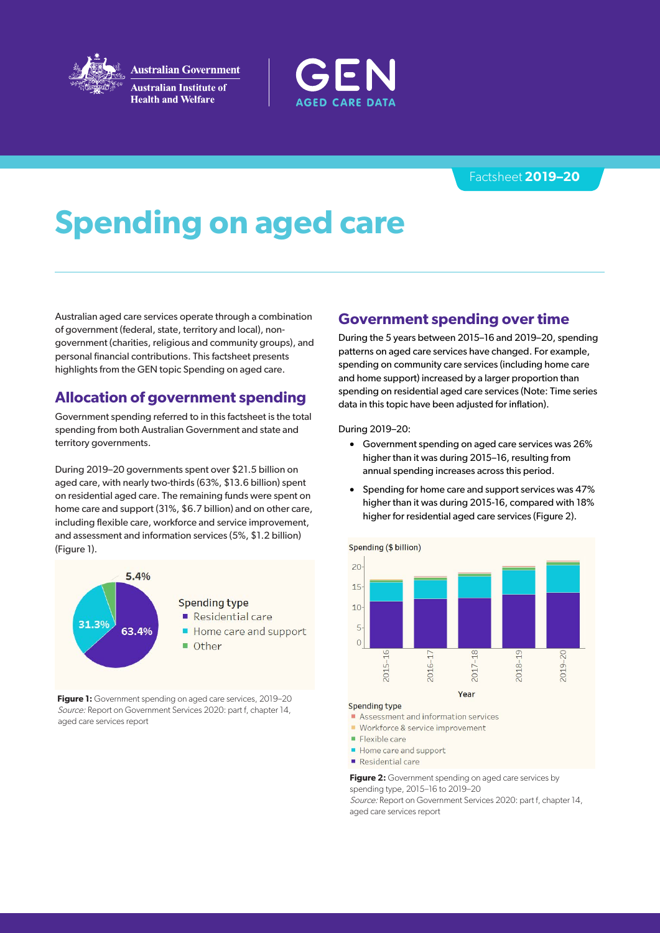

**Australian Government Australian Institute of Health and Welfare** 



### **2020–21** Fact sheet

# **Spending on aged care**

Australian aged care services operate through a combination of government (federal, state, territory and local), nongovernment (charities, religious and community groups), and personal financial contributions. This factsheet presents highlights from the GEN topic Spending on aged care.

## **Allocation of government spending**

Government spending referred to in this factsheet is the total spending from both Australian Government and state and territory governments.

During 2020–21 governments spent over \$23.6 billion on aged care, with the largest proportion (60%, \$14.3 billion) spent on residential aged care. The remaining funds were spent on home care and support (33%, \$7.8 billion) and on other care, including flexible care, workforce and service improvement, and assessment and information services (7.7%, \$1.9 billion) (Figure 1).

**Figure 1:** Government spending on aged care services, 2020–21 Source: Report on Government Services 2022: part f, chapter 14, aged care services report

### **Government spending over time**

During the 5 years between 2016–17 and 2020–21, spending patterns on aged care services have changed. A key trend was that spending on community care services (including home care and home support) increased by a larger proportion than spending on residential aged care services (Note: Time series data in this topic have been adjusted for inflation).

During 2020–21:

- Government spending on aged care services was 26% higher than it was during 2016–17, due to annual spending increases across this period.
- Spending for home care and support services was 64% higher than it was during 2016–17, compared with 10% higher for residential aged care services (Figure 2).



### **Spending type**

- Assessment & information services
- Workforce and quality, and ageing and service improvement
- Flexible care
- Home care and support
- Residential care

**Figure 2:** Government spending on aged care services by spending type, 2016–17 to 2020–21

Source: Report on Government Services 2022: part f, chapter 14, aged care services report